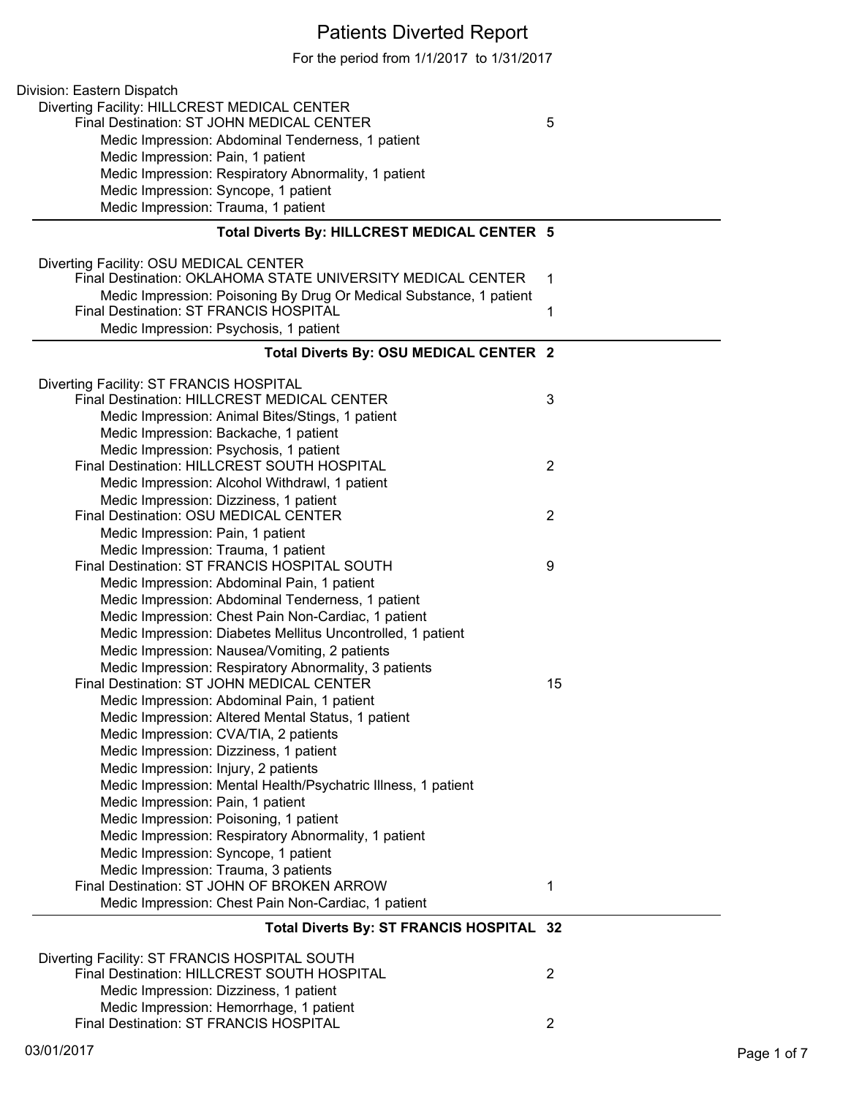# Patients Diverted Report

For the period from 1/1/2017 to 1/31/2017

| Division: Eastern Dispatch                                                         |                |
|------------------------------------------------------------------------------------|----------------|
| Diverting Facility: HILLCREST MEDICAL CENTER                                       |                |
| Final Destination: ST JOHN MEDICAL CENTER                                          | 5              |
| Medic Impression: Abdominal Tenderness, 1 patient                                  |                |
| Medic Impression: Pain, 1 patient                                                  |                |
| Medic Impression: Respiratory Abnormality, 1 patient                               |                |
| Medic Impression: Syncope, 1 patient                                               |                |
| Medic Impression: Trauma, 1 patient                                                |                |
| Total Diverts By: HILLCREST MEDICAL CENTER 5                                       |                |
| Diverting Facility: OSU MEDICAL CENTER                                             |                |
| Final Destination: OKLAHOMA STATE UNIVERSITY MEDICAL CENTER                        | 1              |
| Medic Impression: Poisoning By Drug Or Medical Substance, 1 patient                |                |
| Final Destination: ST FRANCIS HOSPITAL                                             | 1              |
| Medic Impression: Psychosis, 1 patient                                             |                |
| Total Diverts By: OSU MEDICAL CENTER 2                                             |                |
| Diverting Facility: ST FRANCIS HOSPITAL                                            |                |
| Final Destination: HILLCREST MEDICAL CENTER                                        | 3              |
| Medic Impression: Animal Bites/Stings, 1 patient                                   |                |
| Medic Impression: Backache, 1 patient                                              |                |
| Medic Impression: Psychosis, 1 patient                                             |                |
| Final Destination: HILLCREST SOUTH HOSPITAL                                        | 2              |
| Medic Impression: Alcohol Withdrawl, 1 patient                                     |                |
| Medic Impression: Dizziness, 1 patient                                             |                |
| Final Destination: OSU MEDICAL CENTER                                              | 2              |
| Medic Impression: Pain, 1 patient                                                  |                |
| Medic Impression: Trauma, 1 patient                                                |                |
| Final Destination: ST FRANCIS HOSPITAL SOUTH                                       | 9              |
| Medic Impression: Abdominal Pain, 1 patient                                        |                |
| Medic Impression: Abdominal Tenderness, 1 patient                                  |                |
| Medic Impression: Chest Pain Non-Cardiac, 1 patient                                |                |
| Medic Impression: Diabetes Mellitus Uncontrolled, 1 patient                        |                |
| Medic Impression: Nausea/Vomiting, 2 patients                                      |                |
| Medic Impression: Respiratory Abnormality, 3 patients                              |                |
| Final Destination: ST JOHN MEDICAL CENTER                                          | 15             |
| Medic Impression: Abdominal Pain, 1 patient                                        |                |
| Medic Impression: Altered Mental Status, 1 patient                                 |                |
| Medic Impression: CVA/TIA, 2 patients                                              |                |
| Medic Impression: Dizziness, 1 patient                                             |                |
| Medic Impression: Injury, 2 patients                                               |                |
| Medic Impression: Mental Health/Psychatric Illness, 1 patient                      |                |
| Medic Impression: Pain, 1 patient                                                  |                |
| Medic Impression: Poisoning, 1 patient                                             |                |
| Medic Impression: Respiratory Abnormality, 1 patient                               |                |
| Medic Impression: Syncope, 1 patient                                               |                |
| Medic Impression: Trauma, 3 patients<br>Final Destination: ST JOHN OF BROKEN ARROW | 1              |
| Medic Impression: Chest Pain Non-Cardiac, 1 patient                                |                |
|                                                                                    |                |
| Total Diverts By: ST FRANCIS HOSPITAL 32                                           |                |
| Diverting Facility: ST FRANCIS HOSPITAL SOUTH                                      |                |
| Final Destination: HILLCREST SOUTH HOSPITAL                                        | $\overline{2}$ |
| Medic Impression: Dizziness, 1 patient                                             |                |
| Medic Impression: Hemorrhage, 1 patient                                            |                |
| Final Destination: ST FRANCIS HOSPITAL                                             | $\overline{2}$ |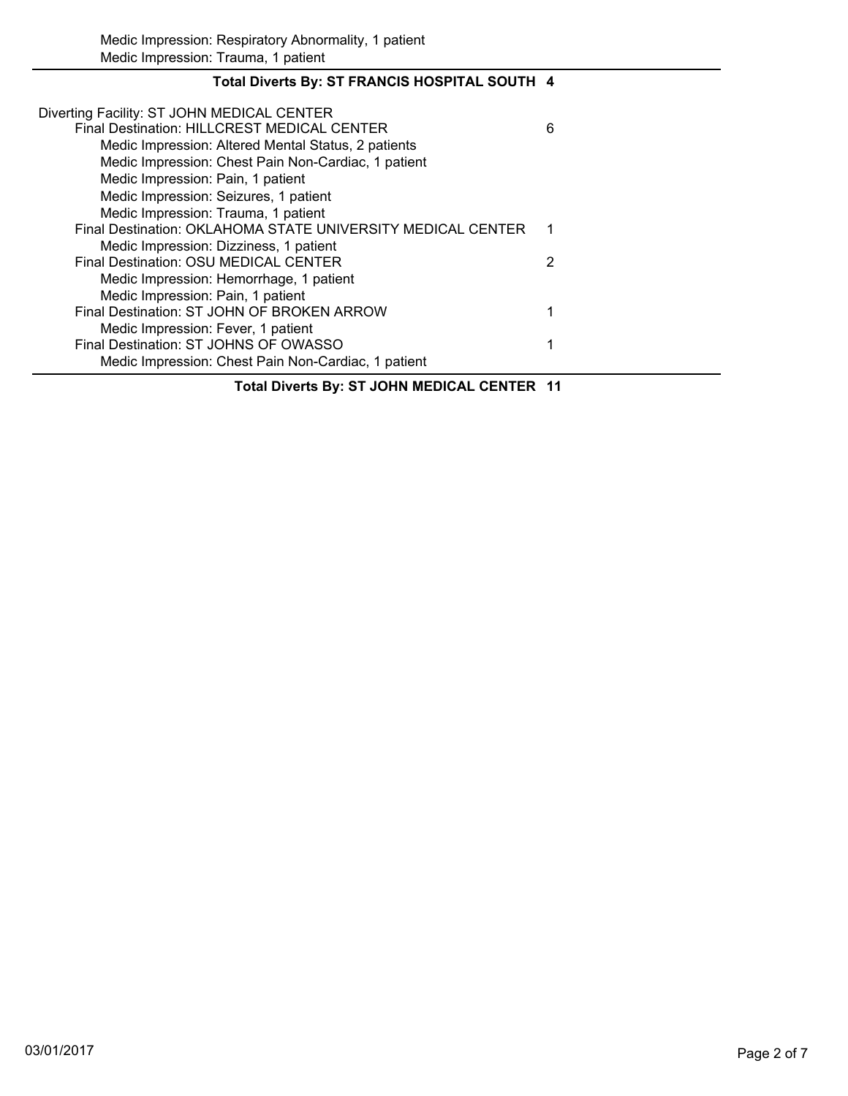| Total Diverts By: ST FRANCIS HOSPITAL SOUTH 4               |   |
|-------------------------------------------------------------|---|
| Diverting Facility: ST JOHN MEDICAL CENTER                  |   |
| Final Destination: HILLCREST MEDICAL CENTER                 | 6 |
| Medic Impression: Altered Mental Status, 2 patients         |   |
| Medic Impression: Chest Pain Non-Cardiac, 1 patient         |   |
| Medic Impression: Pain, 1 patient                           |   |
| Medic Impression: Seizures, 1 patient                       |   |
| Medic Impression: Trauma, 1 patient                         |   |
| Final Destination: OKLAHOMA STATE UNIVERSITY MEDICAL CENTER |   |
| Medic Impression: Dizziness, 1 patient                      |   |
| Final Destination: OSU MEDICAL CENTER                       | 2 |
| Medic Impression: Hemorrhage, 1 patient                     |   |
| Medic Impression: Pain, 1 patient                           |   |
| Final Destination: ST JOHN OF BROKEN ARROW                  |   |
| Medic Impression: Fever, 1 patient                          |   |
| Final Destination: ST JOHNS OF OWASSO                       |   |
| Medic Impression: Chest Pain Non-Cardiac, 1 patient         |   |

## **Total Diverts By: ST JOHN MEDICAL CENTER 11**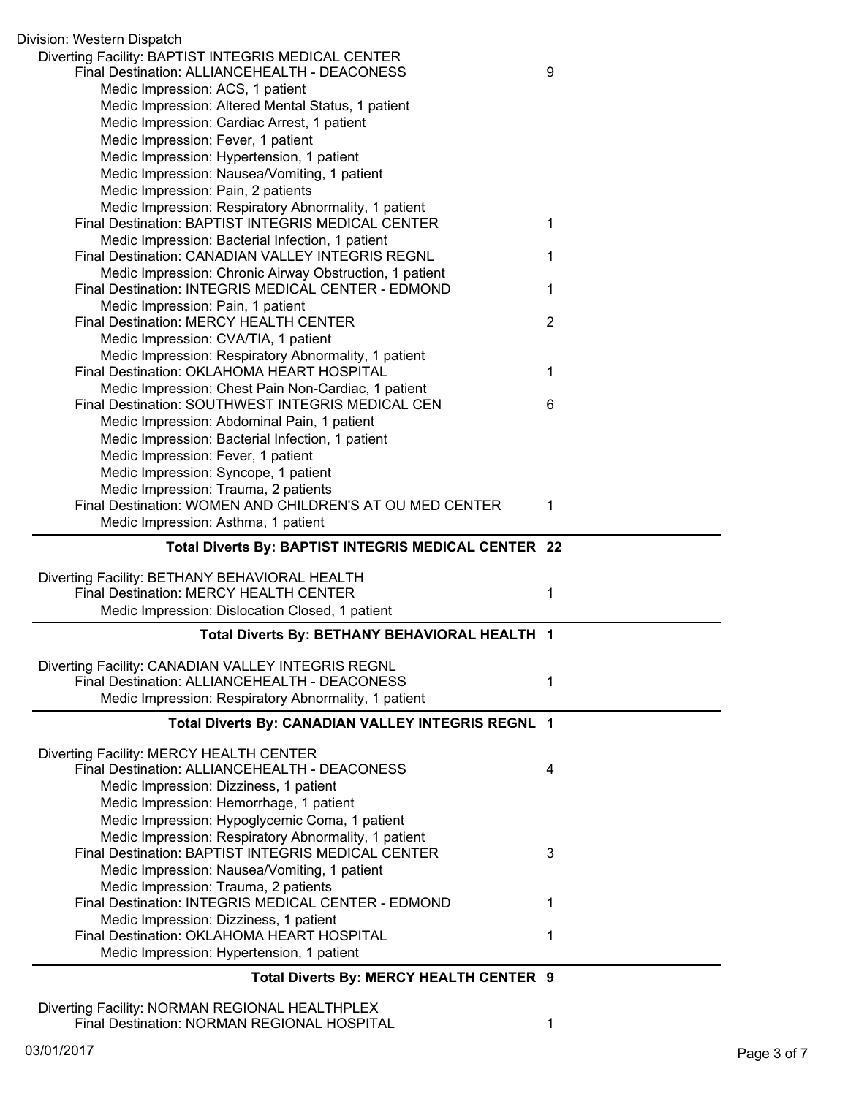| Division: Western Dispatch                                                              |                |
|-----------------------------------------------------------------------------------------|----------------|
| Diverting Facility: BAPTIST INTEGRIS MEDICAL CENTER                                     |                |
| Final Destination: ALLIANCEHEALTH - DEACONESS                                           | 9              |
| Medic Impression: ACS, 1 patient                                                        |                |
| Medic Impression: Altered Mental Status, 1 patient                                      |                |
| Medic Impression: Cardiac Arrest, 1 patient                                             |                |
| Medic Impression: Fever, 1 patient                                                      |                |
| Medic Impression: Hypertension, 1 patient                                               |                |
| Medic Impression: Nausea/Vomiting, 1 patient                                            |                |
| Medic Impression: Pain, 2 patients                                                      |                |
| Medic Impression: Respiratory Abnormality, 1 patient                                    |                |
| Final Destination: BAPTIST INTEGRIS MEDICAL CENTER                                      | 1              |
| Medic Impression: Bacterial Infection, 1 patient                                        |                |
| Final Destination: CANADIAN VALLEY INTEGRIS REGNL                                       | 1              |
| Medic Impression: Chronic Airway Obstruction, 1 patient                                 |                |
| Final Destination: INTEGRIS MEDICAL CENTER - EDMOND                                     | 1              |
| Medic Impression: Pain, 1 patient                                                       |                |
| Final Destination: MERCY HEALTH CENTER                                                  | $\overline{2}$ |
| Medic Impression: CVA/TIA, 1 patient                                                    |                |
| Medic Impression: Respiratory Abnormality, 1 patient                                    |                |
| Final Destination: OKLAHOMA HEART HOSPITAL                                              | 1              |
| Medic Impression: Chest Pain Non-Cardiac, 1 patient                                     |                |
| Final Destination: SOUTHWEST INTEGRIS MEDICAL CEN                                       | 6              |
| Medic Impression: Abdominal Pain, 1 patient                                             |                |
| Medic Impression: Bacterial Infection, 1 patient                                        |                |
| Medic Impression: Fever, 1 patient                                                      |                |
| Medic Impression: Syncope, 1 patient                                                    |                |
| Medic Impression: Trauma, 2 patients                                                    |                |
|                                                                                         |                |
| Final Destination: WOMEN AND CHILDREN'S AT OU MED CENTER                                | 1              |
| Medic Impression: Asthma, 1 patient                                                     |                |
| Total Diverts By: BAPTIST INTEGRIS MEDICAL CENTER 22                                    |                |
|                                                                                         |                |
| Diverting Facility: BETHANY BEHAVIORAL HEALTH                                           |                |
| Final Destination: MERCY HEALTH CENTER                                                  | 1              |
| Medic Impression: Dislocation Closed, 1 patient                                         |                |
| Total Diverts By: BETHANY BEHAVIORAL HEALTH 1                                           |                |
|                                                                                         |                |
| Diverting Facility: CANADIAN VALLEY INTEGRIS REGNL                                      |                |
| Final Destination: ALLIANCEHEALTH - DEACONESS                                           | 1              |
| Medic Impression: Respiratory Abnormality, 1 patient                                    |                |
| Total Diverts By: CANADIAN VALLEY INTEGRIS REGNL 1                                      |                |
|                                                                                         |                |
| Diverting Facility: MERCY HEALTH CENTER                                                 |                |
| Final Destination: ALLIANCEHEALTH - DEACONESS                                           | 4              |
| Medic Impression: Dizziness, 1 patient                                                  |                |
| Medic Impression: Hemorrhage, 1 patient                                                 |                |
| Medic Impression: Hypoglycemic Coma, 1 patient                                          |                |
| Medic Impression: Respiratory Abnormality, 1 patient                                    |                |
| Final Destination: BAPTIST INTEGRIS MEDICAL CENTER                                      | 3              |
| Medic Impression: Nausea/Vomiting, 1 patient                                            |                |
| Medic Impression: Trauma, 2 patients                                                    |                |
| Final Destination: INTEGRIS MEDICAL CENTER - EDMOND                                     | 1              |
| Medic Impression: Dizziness, 1 patient                                                  |                |
| Final Destination: OKLAHOMA HEART HOSPITAL<br>Medic Impression: Hypertension, 1 patient | 1              |

## **Total Diverts By: MERCY HEALTH CENTER 9**

Diverting Facility: NORMAN REGIONAL HEALTHPLEX Final Destination: NORMAN REGIONAL HOSPITAL 1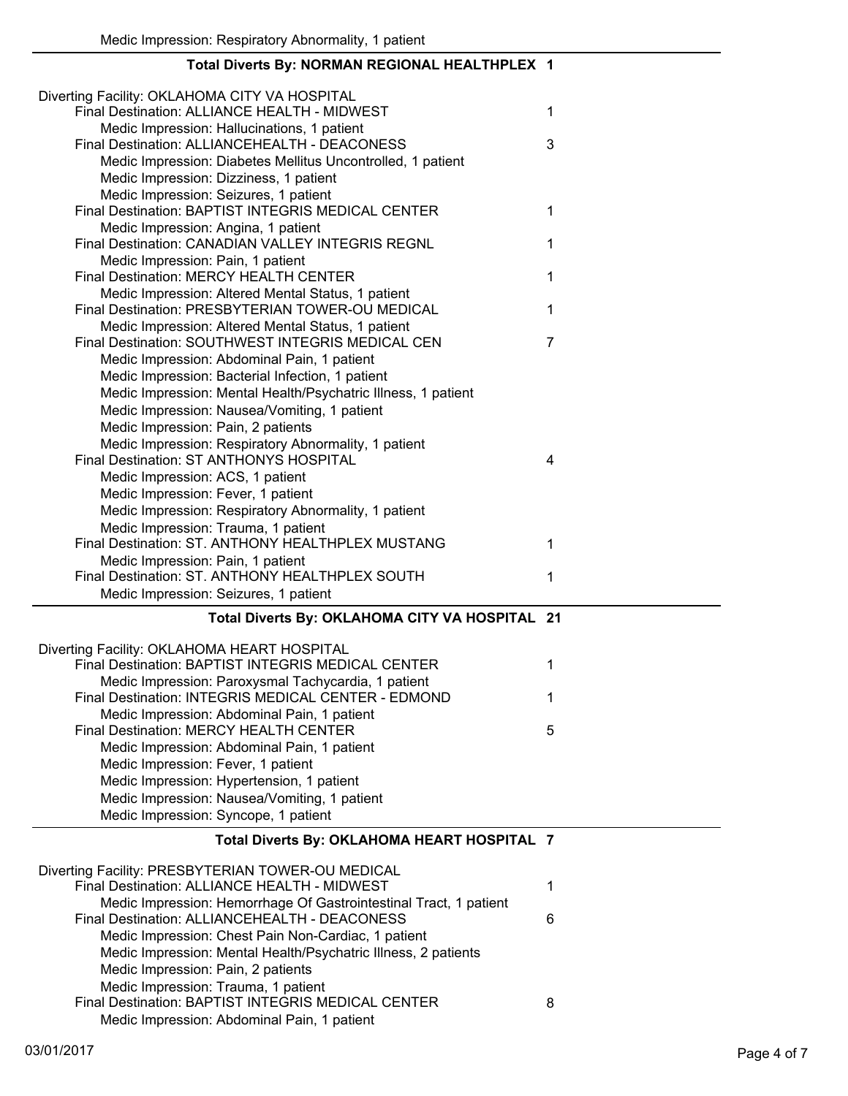| Total Diverts By: NORMAN REGIONAL HEALTHPLEX 1                                                         |   |
|--------------------------------------------------------------------------------------------------------|---|
| Diverting Facility: OKLAHOMA CITY VA HOSPITAL<br>Final Destination: ALLIANCE HEALTH - MIDWEST          | 1 |
| Medic Impression: Hallucinations, 1 patient                                                            |   |
| Final Destination: ALLIANCEHEALTH - DEACONESS                                                          | 3 |
| Medic Impression: Diabetes Mellitus Uncontrolled, 1 patient                                            |   |
| Medic Impression: Dizziness, 1 patient                                                                 |   |
| Medic Impression: Seizures, 1 patient<br>Final Destination: BAPTIST INTEGRIS MEDICAL CENTER            | 1 |
| Medic Impression: Angina, 1 patient<br>Final Destination: CANADIAN VALLEY INTEGRIS REGNL               | 1 |
| Medic Impression: Pain, 1 patient                                                                      |   |
| Final Destination: MERCY HEALTH CENTER                                                                 | 1 |
| Medic Impression: Altered Mental Status, 1 patient<br>Final Destination: PRESBYTERIAN TOWER-OU MEDICAL | 1 |
| Medic Impression: Altered Mental Status, 1 patient                                                     |   |
| Final Destination: SOUTHWEST INTEGRIS MEDICAL CEN                                                      | 7 |
| Medic Impression: Abdominal Pain, 1 patient                                                            |   |
| Medic Impression: Bacterial Infection, 1 patient                                                       |   |
| Medic Impression: Mental Health/Psychatric Illness, 1 patient                                          |   |
| Medic Impression: Nausea/Vomiting, 1 patient                                                           |   |
| Medic Impression: Pain, 2 patients                                                                     |   |
| Medic Impression: Respiratory Abnormality, 1 patient                                                   |   |
| Final Destination: ST ANTHONYS HOSPITAL                                                                | 4 |
| Medic Impression: ACS, 1 patient                                                                       |   |
| Medic Impression: Fever, 1 patient                                                                     |   |
| Medic Impression: Respiratory Abnormality, 1 patient                                                   |   |
| Medic Impression: Trauma, 1 patient<br>Final Destination: ST. ANTHONY HEALTHPLEX MUSTANG               | 1 |
|                                                                                                        |   |
| Medic Impression: Pain, 1 patient<br>Final Destination: ST. ANTHONY HEALTHPLEX SOUTH                   | 1 |
| Medic Impression: Seizures, 1 patient                                                                  |   |
| Total Diverts By: OKLAHOMA CITY VA HOSPITAL 21                                                         |   |
|                                                                                                        |   |
| Diverting Facility: OKLAHOMA HEART HOSPITAL<br>Final Destination: BAPTIST INTEGRIS MEDICAL CENTER      | 1 |
| Medic Impression: Paroxysmal Tachycardia, 1 patient                                                    |   |
| Final Destination: INTEGRIS MEDICAL CENTER - EDMOND                                                    | 1 |
| Medic Impression: Abdominal Pain, 1 patient                                                            |   |
| Final Destination: MERCY HEALTH CENTER                                                                 | 5 |
| Medic Impression: Abdominal Pain, 1 patient                                                            |   |
| Medic Impression: Fever, 1 patient                                                                     |   |
| Medic Impression: Hypertension, 1 patient                                                              |   |
| Medic Impression: Nausea/Vomiting, 1 patient                                                           |   |
| Medic Impression: Syncope, 1 patient                                                                   |   |
| Total Diverts By: OKLAHOMA HEART HOSPITAL 7                                                            |   |
| Diverting Facility: PRESBYTERIAN TOWER-OU MEDICAL                                                      |   |
| Final Destination: ALLIANCE HEALTH - MIDWEST                                                           | 1 |
| Medic Impression: Hemorrhage Of Gastrointestinal Tract, 1 patient                                      |   |
| Final Destination: ALLIANCEHEALTH - DEACONESS                                                          | 6 |
| Medic Impression: Chest Pain Non-Cardiac, 1 patient                                                    |   |
| Medic Impression: Mental Health/Psychatric Illness, 2 patients                                         |   |
| Medic Impression: Pain, 2 patients                                                                     |   |
| Medic Impression: Trauma, 1 patient<br>Final Destination: BAPTIST INTEGRIS MEDICAL CENTER              | 8 |

#### Medic Impression: Abdominal Pain, 1 patient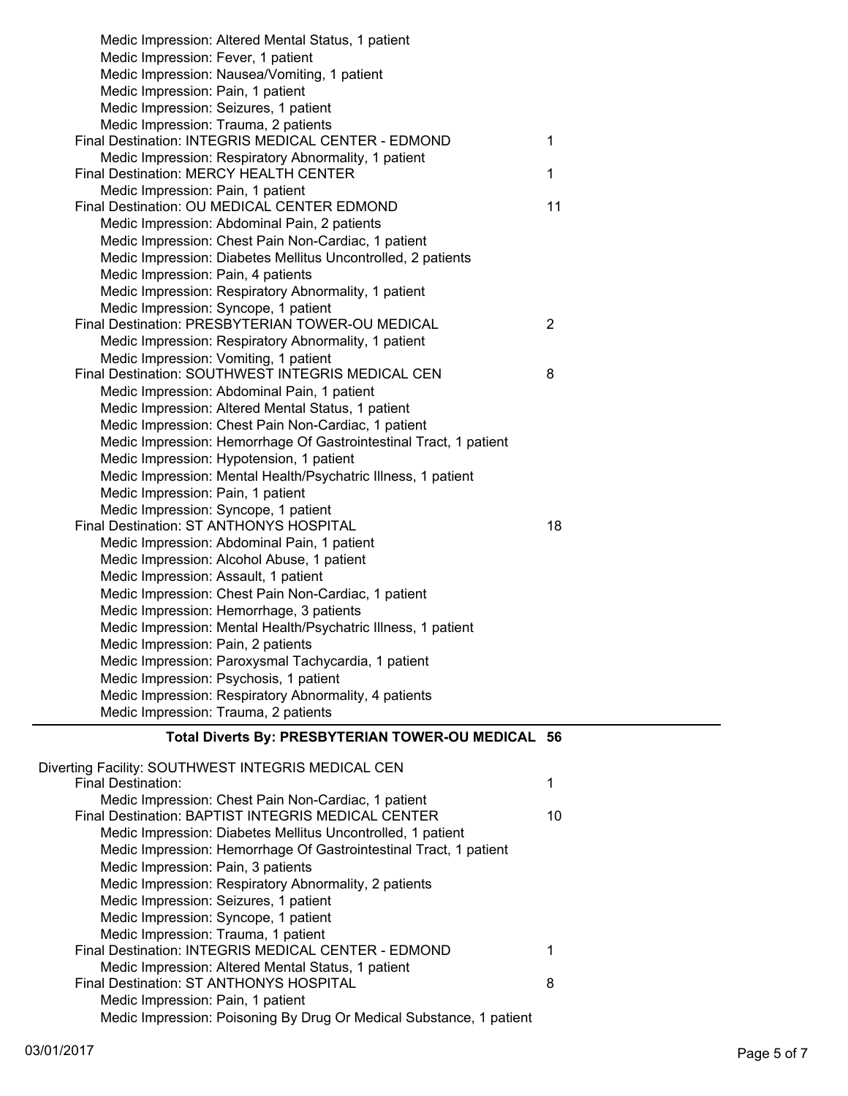| Medic Impression: Altered Mental Status, 1 patient<br>Medic Impression: Fever, 1 patient |                |
|------------------------------------------------------------------------------------------|----------------|
| Medic Impression: Nausea/Vomiting, 1 patient                                             |                |
| Medic Impression: Pain, 1 patient                                                        |                |
| Medic Impression: Seizures, 1 patient                                                    |                |
| Medic Impression: Trauma, 2 patients                                                     |                |
| Final Destination: INTEGRIS MEDICAL CENTER - EDMOND                                      | $\mathbf 1$    |
| Medic Impression: Respiratory Abnormality, 1 patient                                     |                |
| Final Destination: MERCY HEALTH CENTER                                                   | $\mathbf{1}$   |
| Medic Impression: Pain, 1 patient                                                        |                |
| Final Destination: OU MEDICAL CENTER EDMOND                                              | 11             |
| Medic Impression: Abdominal Pain, 2 patients                                             |                |
| Medic Impression: Chest Pain Non-Cardiac, 1 patient                                      |                |
| Medic Impression: Diabetes Mellitus Uncontrolled, 2 patients                             |                |
| Medic Impression: Pain, 4 patients                                                       |                |
| Medic Impression: Respiratory Abnormality, 1 patient                                     |                |
| Medic Impression: Syncope, 1 patient                                                     |                |
| Final Destination: PRESBYTERIAN TOWER-OU MEDICAL                                         | $\overline{2}$ |
| Medic Impression: Respiratory Abnormality, 1 patient                                     |                |
| Medic Impression: Vomiting, 1 patient                                                    |                |
| Final Destination: SOUTHWEST INTEGRIS MEDICAL CEN                                        | 8              |
| Medic Impression: Abdominal Pain, 1 patient                                              |                |
| Medic Impression: Altered Mental Status, 1 patient                                       |                |
| Medic Impression: Chest Pain Non-Cardiac, 1 patient                                      |                |
| Medic Impression: Hemorrhage Of Gastrointestinal Tract, 1 patient                        |                |
| Medic Impression: Hypotension, 1 patient                                                 |                |
| Medic Impression: Mental Health/Psychatric Illness, 1 patient                            |                |
| Medic Impression: Pain, 1 patient                                                        |                |
| Medic Impression: Syncope, 1 patient<br>Final Destination: ST ANTHONYS HOSPITAL          | 18             |
| Medic Impression: Abdominal Pain, 1 patient                                              |                |
| Medic Impression: Alcohol Abuse, 1 patient                                               |                |
| Medic Impression: Assault, 1 patient                                                     |                |
| Medic Impression: Chest Pain Non-Cardiac, 1 patient                                      |                |
| Medic Impression: Hemorrhage, 3 patients                                                 |                |
| Medic Impression: Mental Health/Psychatric Illness, 1 patient                            |                |
| Medic Impression: Pain, 2 patients                                                       |                |
| Medic Impression: Paroxysmal Tachycardia, 1 patient                                      |                |
| Medic Impression: Psychosis, 1 patient                                                   |                |
| Medic Impression: Respiratory Abnormality, 4 patients                                    |                |
| Medic Impression: Trauma, 2 patients                                                     |                |
|                                                                                          |                |
| Total Diverts By: PRESBYTERIAN TOWER-OU MEDICAL 56                                       |                |
| Diverting Facility: SOUTHWEST INTEGRIS MEDICAL CEN                                       |                |
| <b>Final Destination:</b>                                                                | 1              |
| Medic Impression: Chest Pain Non-Cardiac, 1 patient                                      |                |
| Final Destination: BAPTIST INTEGRIS MEDICAL CENTER                                       | 10             |
| Medic Impression: Diabetes Mellitus Uncontrolled, 1 patient                              |                |
| Medic Impression: Hemorrhage Of Gastrointestinal Tract, 1 patient                        |                |
| Medic Impression: Pain, 3 patients                                                       |                |
| Medic Impression: Respiratory Abnormality, 2 patients                                    |                |
| Medic Impression: Seizures, 1 patient                                                    |                |
| Medic Impression: Syncope, 1 patient                                                     |                |
| Modio Impropojan: Trauma, 1 nationt                                                      |                |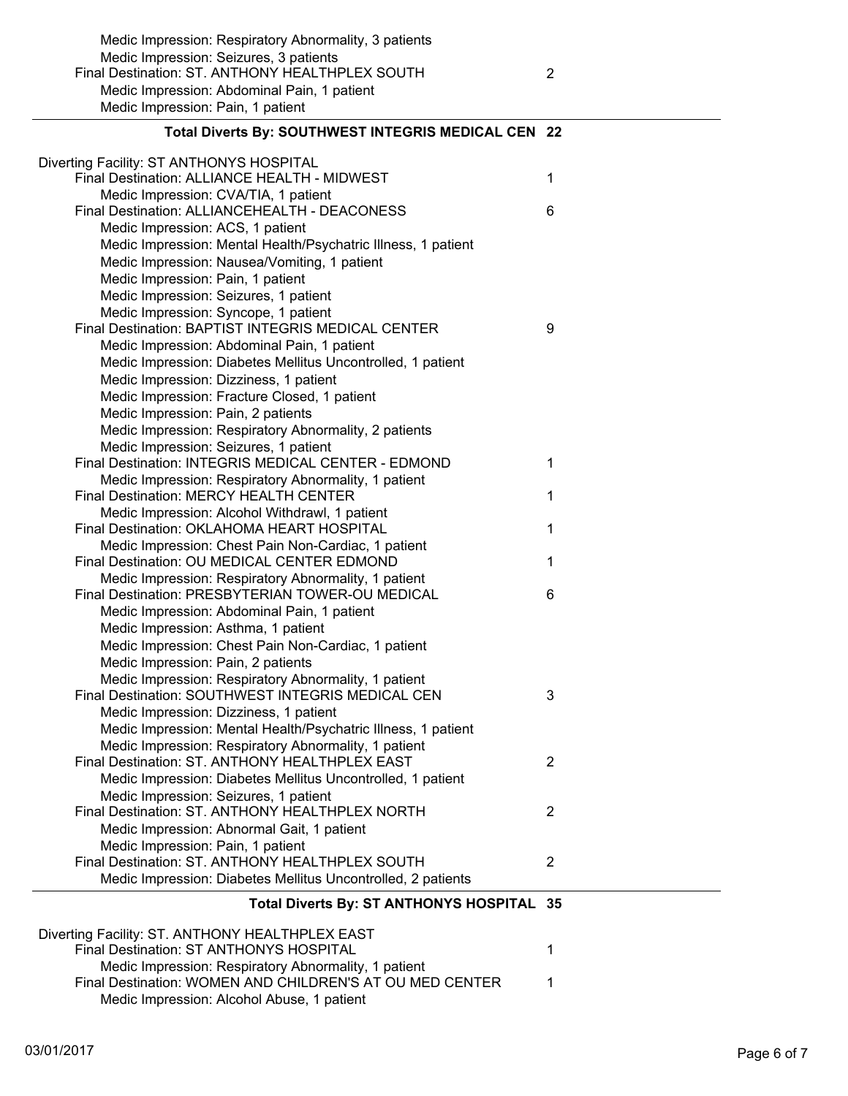| Total Diverts By: SOUTHWEST INTEGRIS MEDICAL CEN 22           |   |  |
|---------------------------------------------------------------|---|--|
| Diverting Facility: ST ANTHONYS HOSPITAL                      |   |  |
| Final Destination: ALLIANCE HEALTH - MIDWEST                  | 1 |  |
| Medic Impression: CVA/TIA, 1 patient                          |   |  |
| Final Destination: ALLIANCEHEALTH - DEACONESS                 | 6 |  |
| Medic Impression: ACS, 1 patient                              |   |  |
| Medic Impression: Mental Health/Psychatric Illness, 1 patient |   |  |
| Medic Impression: Nausea/Vomiting, 1 patient                  |   |  |
| Medic Impression: Pain, 1 patient                             |   |  |
| Medic Impression: Seizures, 1 patient                         |   |  |
| Medic Impression: Syncope, 1 patient                          |   |  |
| Final Destination: BAPTIST INTEGRIS MEDICAL CENTER            | 9 |  |
| Medic Impression: Abdominal Pain, 1 patient                   |   |  |
| Medic Impression: Diabetes Mellitus Uncontrolled, 1 patient   |   |  |
| Medic Impression: Dizziness, 1 patient                        |   |  |
| Medic Impression: Fracture Closed, 1 patient                  |   |  |
| Medic Impression: Pain, 2 patients                            |   |  |
| Medic Impression: Respiratory Abnormality, 2 patients         |   |  |
| Medic Impression: Seizures, 1 patient                         |   |  |
| Final Destination: INTEGRIS MEDICAL CENTER - EDMOND           | 1 |  |
| Medic Impression: Respiratory Abnormality, 1 patient          |   |  |
| <b>Final Destination: MERCY HEALTH CENTER</b>                 | 1 |  |
| Medic Impression: Alcohol Withdrawl, 1 patient                |   |  |
| Final Destination: OKLAHOMA HEART HOSPITAL                    | 1 |  |
| Medic Impression: Chest Pain Non-Cardiac, 1 patient           |   |  |
| Final Destination: OU MEDICAL CENTER EDMOND                   | 1 |  |
| Medic Impression: Respiratory Abnormality, 1 patient          |   |  |
| Final Destination: PRESBYTERIAN TOWER-OU MEDICAL<br>.         | 6 |  |
|                                                               |   |  |

| Medic impression: Respiratory Abnormality, 1 patient          |   |
|---------------------------------------------------------------|---|
| Final Destination: PRESBYTERIAN TOWER-OU MEDICAL              | 6 |
| Medic Impression: Abdominal Pain, 1 patient                   |   |
| Medic Impression: Asthma, 1 patient                           |   |
| Medic Impression: Chest Pain Non-Cardiac, 1 patient           |   |
| Medic Impression: Pain, 2 patients                            |   |
| Medic Impression: Respiratory Abnormality, 1 patient          |   |
| Final Destination: SOUTHWEST INTEGRIS MEDICAL CEN             | 3 |
| Medic Impression: Dizziness, 1 patient                        |   |
| Medic Impression: Mental Health/Psychatric Illness, 1 patient |   |
| Medic Impression: Respiratory Abnormality, 1 patient          |   |
| Final Destination: ST. ANTHONY HEALTHPLEX EAST                | 2 |
| Medic Impression: Diabetes Mellitus Uncontrolled, 1 patient   |   |
| Medic Impression: Seizures, 1 patient                         |   |
| Final Destination: ST. ANTHONY HEALTHPLEX NORTH               | 2 |
|                                                               |   |

### Medic Impression: Abnormal Gait, 1 patient Medic Impression: Pain, 1 patient Final Destination: ST. ANTHONY HEALTHPLEX SOUTH 2 Medic Impression: Diabetes Mellitus Uncontrolled, 2 patients

#### **Total Diverts By: ST ANTHONYS HOSPITAL 35**

| Diverting Facility: ST. ANTHONY HEALTHPLEX EAST<br>Final Destination: ST ANTHONYS HOSPITAL |  |
|--------------------------------------------------------------------------------------------|--|
| Medic Impression: Respiratory Abnormality, 1 patient                                       |  |
| Final Destination: WOMEN AND CHILDREN'S AT OU MED CENTER                                   |  |
| Medic Impression: Alcohol Abuse, 1 patient                                                 |  |